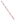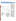# **Gila River Indian Community**



For a copy of the Gila River Indian Community 1994 305(b) report, contact:

#### **Errol Blackwater**

Gila River Indian Community Water Quality Planning Office Corner of Pima and Main Streets Sacaton, AZ 85247 (602) 562-3203

#### **Surface Water Quality**

The Gila River Indian Community occupies 580 square miles in Central Arizona adjacent to the metropolitan Phoenix area. About 8,500 members of the Pima and Maricopa Tribes live in 22 small villages inside the Community. The Gila River is the major surface water feature in the Community, but its flow is interrupted by upstream diversions outside of the Community. Arid conditions and little

vegetative cover cause sudden runoff with high suspended sediment loads.

Surface water was evaluated with qualitative information due to the lack of monitoring data. Most of the Community's surface waters have fair water quality that partially supports designated uses because of turbidity, siltation, salinity, and metals loading from rangeland, agriculture, irrigation return flows, and upstream mining. Information was not available for assessing effects of toxic contaminants and acid rain. There is no information about water quality conditions in wetlands.

#### **Ground Water Quality**

Community ground water quality generally complies with EPA's Maximum Contaminant Levels, but concentrations of total dissolved solids often exceed recommended concentrations. However, members of the Community have either adjusted to the aesthetic problem of high dissolved solids or begun purchasing bottled water, as have other ground water users in the metropolitan Phoenix area. Occasionally, concentrations of coliform bacteria, nitrates, and fluoride exceed recommended criteria in isolated wells. Pathogens from onsite sewage disposal systems have been detected in ground water and pose the primary public health concern. Other concerns include salinity and pesticides from